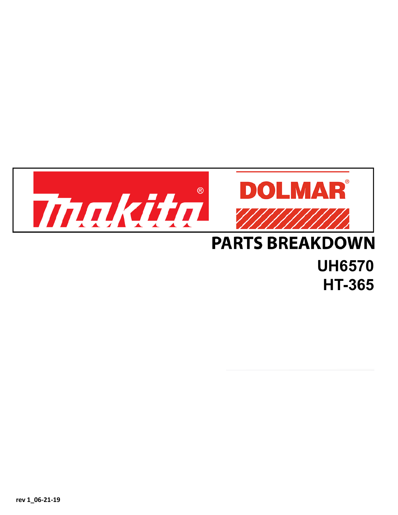

## **UH6570 HT-365**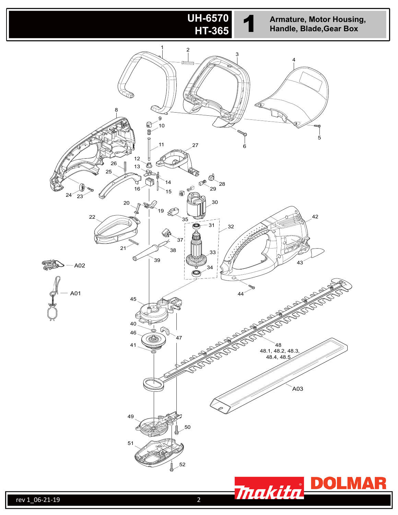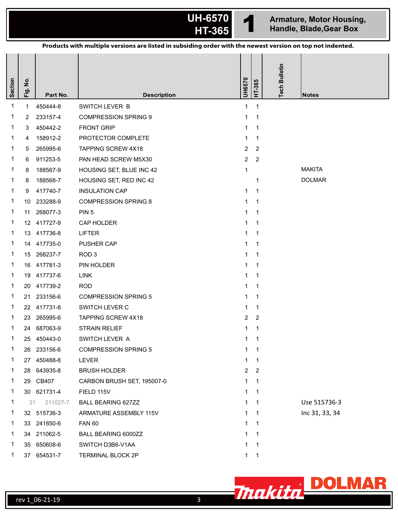

**H-6570 1 Armature, Motor Housing, HT-365 1 Handle, Blade,Gear Box** 

| Products with multiple versions are listed in subsiding order with the newest version on top not indented. |                |             |                             |                |                |                      |                |  |  |  |
|------------------------------------------------------------------------------------------------------------|----------------|-------------|-----------------------------|----------------|----------------|----------------------|----------------|--|--|--|
| <b>Section</b>                                                                                             | .<br>2<br>Fig. | Part No.    | <b>Description</b>          | UH6570         | HT-365         | <b>Tech Bulletin</b> | <b>Notes</b>   |  |  |  |
| $\mathbf 1$                                                                                                | $\mathbf{1}$   | 450444-8    | SWITCH LEVER B              | $\mathbf{1}$   | $\mathbf 1$    |                      |                |  |  |  |
| 1                                                                                                          | 2              | 233157-4    | <b>COMPRESSION SPRING 9</b> | 1              | $\mathbf 1$    |                      |                |  |  |  |
| 1                                                                                                          | 3              | 450442-2    | <b>FRONT GRIP</b>           | 1              | $\mathbf 1$    |                      |                |  |  |  |
| 1                                                                                                          | 4              | 158912-2    | PROTECTOR COMPLETE          | $\mathbf{1}$   | $\mathbf 1$    |                      |                |  |  |  |
| 1                                                                                                          | 5              | 265995-6    | <b>TAPPING SCREW 4X18</b>   | $\overline{2}$ | 2              |                      |                |  |  |  |
| 1                                                                                                          | 6              | 911253-5    | PAN HEAD SCREW M5X30        | $\overline{2}$ | $\overline{c}$ |                      |                |  |  |  |
| 1                                                                                                          | 8              | 188567-9    | HOUSING SET, BLUE INC 42    | $\mathbf{1}$   |                |                      | <b>MAKITA</b>  |  |  |  |
| 1                                                                                                          | 8              | 188568-7    | HOUSING SET, RED INC 42     |                | $\mathbf 1$    |                      | <b>DOLMAR</b>  |  |  |  |
| 1                                                                                                          | 9              | 417740-7    | <b>INSULATION CAP</b>       | $\mathbf{1}$   | $\mathbf 1$    |                      |                |  |  |  |
| 1                                                                                                          | 10             | 233288-9    | <b>COMPRESSION SPRING 8</b> | 1              | $\mathbf 1$    |                      |                |  |  |  |
| 1                                                                                                          | 11             | 268077-3    | PIN <sub>5</sub>            | 1              | $\mathbf 1$    |                      |                |  |  |  |
| 1                                                                                                          |                | 12 417727-9 | CAP HOLDER                  | 1              | $\mathbf 1$    |                      |                |  |  |  |
| 1                                                                                                          | 13             | 417736-8    | <b>LIFTER</b>               | 1              | $\mathbf 1$    |                      |                |  |  |  |
| 1                                                                                                          |                | 14 417735-0 | PUSHER CAP                  | $\mathbf{1}$   | $\mathbf 1$    |                      |                |  |  |  |
| 1                                                                                                          |                | 15 268237-7 | ROD <sub>3</sub>            | 1              | -1             |                      |                |  |  |  |
| 1                                                                                                          |                | 16 417781-3 | PIN HOLDER                  | 1              | $\mathbf 1$    |                      |                |  |  |  |
| 1                                                                                                          | 19             | 417737-6    | LINK                        | 1              | $\mathbf 1$    |                      |                |  |  |  |
| 1                                                                                                          | 20             | 417739-2    | <b>ROD</b>                  | 1              | $\mathbf 1$    |                      |                |  |  |  |
| 1                                                                                                          | 21             | 233156-6    | <b>COMPRESSION SPRING 5</b> | 1              | $\mathbf 1$    |                      |                |  |  |  |
| 1                                                                                                          | 22             | 417731-8    | SWITCH LEVER C              | 1              | $\mathbf 1$    |                      |                |  |  |  |
| 1                                                                                                          | 23             | 265995-6    | TAPPING SCREW 4X18          | $\overline{2}$ | 2              |                      |                |  |  |  |
| $\mathbf{1}$                                                                                               | 24             | 687063-9    | <b>STRAIN RELIEF</b>        | 1              | 1              |                      |                |  |  |  |
| 1                                                                                                          |                | 25 450443-0 | SWITCH LEVER A              | 1              | $\mathbf{1}$   |                      |                |  |  |  |
| 1                                                                                                          |                | 26 233156-6 | <b>COMPRESSION SPRING 5</b> | 1              | $\mathbf 1$    |                      |                |  |  |  |
| 1                                                                                                          |                | 27 450488-8 | <b>LEVER</b>                | $\mathbf{1}$   | -1             |                      |                |  |  |  |
| $\mathbf{1}$                                                                                               |                | 28 643935-8 | <b>BRUSH HOLDER</b>         | $2^{\circ}$    | $\overline{2}$ |                      |                |  |  |  |
| 1                                                                                                          | 29             | CB407       | CARBON BRUSH SET, 195007-0  | 1              | $\mathbf 1$    |                      |                |  |  |  |
| 1                                                                                                          |                | 30 621731-4 | FIELD 115V                  | $\mathbf{1}$   | $\mathbf 1$    |                      |                |  |  |  |
| 1                                                                                                          | 31             | 211027-7    | <b>BALL BEARING 627ZZ</b>   | 1.             | -1             |                      | Use 515736-3   |  |  |  |
| 1                                                                                                          |                | 32 515736-3 | ARMATURE ASSEMBLY 115V      | 1              | $\mathbf{1}$   |                      | Inc 31, 33, 34 |  |  |  |
| 1                                                                                                          |                | 33 241850-6 | <b>FAN 60</b>               | 1              | $\mathbf 1$    |                      |                |  |  |  |
| 1                                                                                                          |                | 34 211062-5 | BALL BEARING 6000ZZ         | 1              | -1             |                      |                |  |  |  |
| 1                                                                                                          |                | 35 650608-6 | SWITCH D3B6-V1AA            | 1              | $\mathbf 1$    |                      |                |  |  |  |
| 1                                                                                                          |                | 37 654531-7 | TERMINAL BLOCK 2P           | 1              |                |                      |                |  |  |  |